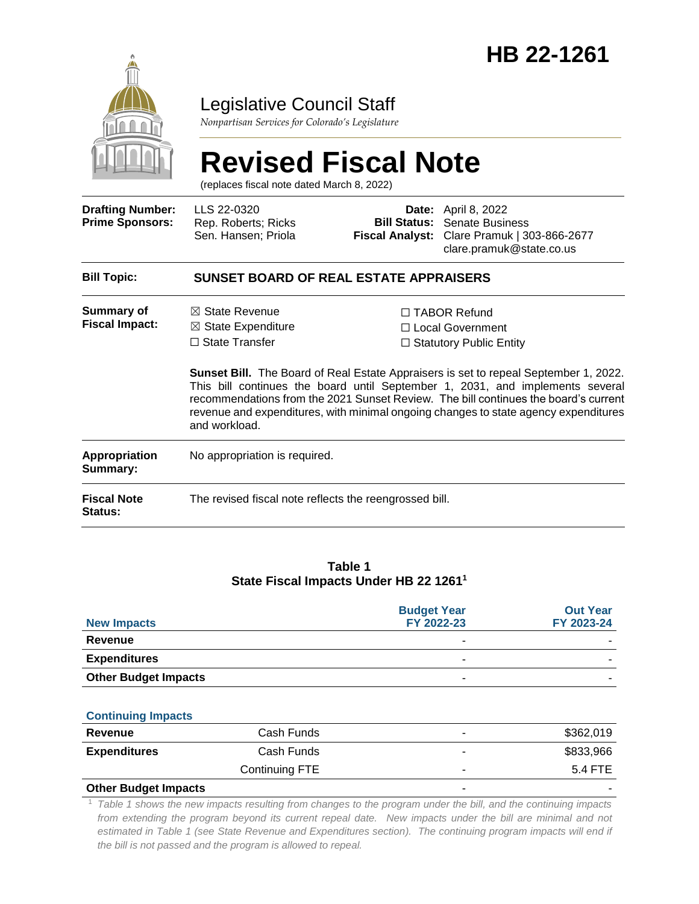

# Legislative Council Staff

*Nonpartisan Services for Colorado's Legislature*

# **Revised Fiscal Note**

(replaces fiscal note dated March 8, 2022)

| <b>Drafting Number:</b><br><b>Prime Sponsors:</b> | LLS 22-0320<br>Rep. Roberts; Ricks<br>Sen. Hansen; Priola                                            | <b>Bill Status:</b><br><b>Fiscal Analyst:</b> | <b>Date:</b> April 8, 2022<br><b>Senate Business</b><br>Clare Pramuk   303-866-2677<br>clare.pramuk@state.co.us                                                                                                                                                                                                                                                                                                                           |  |  |
|---------------------------------------------------|------------------------------------------------------------------------------------------------------|-----------------------------------------------|-------------------------------------------------------------------------------------------------------------------------------------------------------------------------------------------------------------------------------------------------------------------------------------------------------------------------------------------------------------------------------------------------------------------------------------------|--|--|
| <b>Bill Topic:</b>                                | <b>SUNSET BOARD OF REAL ESTATE APPRAISERS</b>                                                        |                                               |                                                                                                                                                                                                                                                                                                                                                                                                                                           |  |  |
| <b>Summary of</b><br><b>Fiscal Impact:</b>        | $\boxtimes$ State Revenue<br>$\boxtimes$ State Expenditure<br>$\Box$ State Transfer<br>and workload. |                                               | $\Box$ TABOR Refund<br>□ Local Government<br>$\Box$ Statutory Public Entity<br><b>Sunset Bill.</b> The Board of Real Estate Appraisers is set to repeal September 1, 2022.<br>This bill continues the board until September 1, 2031, and implements several<br>recommendations from the 2021 Sunset Review. The bill continues the board's current<br>revenue and expenditures, with minimal ongoing changes to state agency expenditures |  |  |
| <b>Appropriation</b><br>Summary:                  | No appropriation is required.                                                                        |                                               |                                                                                                                                                                                                                                                                                                                                                                                                                                           |  |  |
| <b>Fiscal Note</b><br><b>Status:</b>              | The revised fiscal note reflects the reengrossed bill.                                               |                                               |                                                                                                                                                                                                                                                                                                                                                                                                                                           |  |  |

#### **Table 1 State Fiscal Impacts Under HB 22 1261<sup>1</sup>**

| <b>New Impacts</b>          | <b>Budget Year</b><br>FY 2022-23 | <b>Out Year</b><br>FY 2023-24 |
|-----------------------------|----------------------------------|-------------------------------|
| Revenue                     |                                  |                               |
| <b>Expenditures</b>         | ۰                                |                               |
| <b>Other Budget Impacts</b> | -                                |                               |

#### **Continuing Impacts**

| Revenue              | Cash Funds     | ۰                        | \$362,019 |
|----------------------|----------------|--------------------------|-----------|
| <b>Expenditures</b>  | Cash Funds     | $\overline{\phantom{0}}$ | \$833,966 |
|                      | Continuing FTE | ۰                        | 5.4 FTE   |
| Othar Dudget Importa |                |                          |           |

#### **Other Budget Impacts**

<sup>1</sup> *Table 1 shows the new impacts resulting from changes to the program under the bill, and the continuing impacts from extending the program beyond its current repeal date. New impacts under the bill are minimal and not estimated in Table 1 (see State Revenue and Expenditures section). The continuing program impacts will end if the bill is not passed and the program is allowed to repeal.*